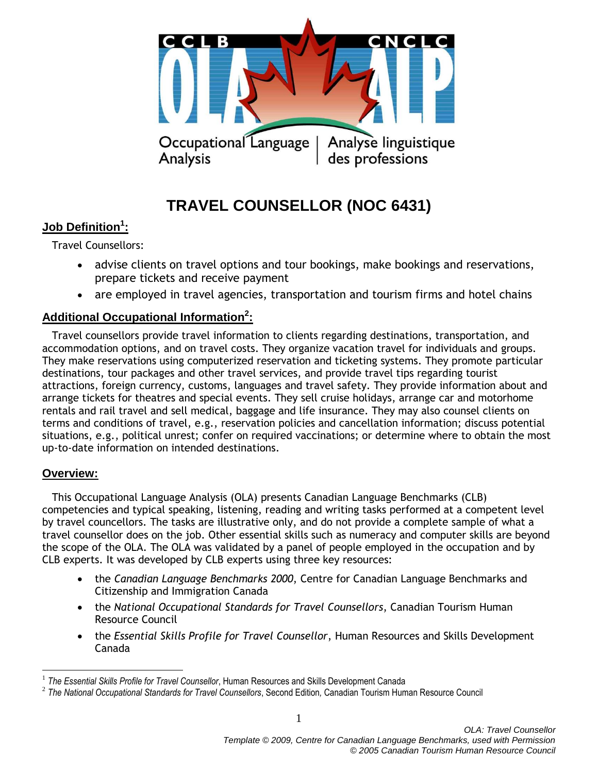

# **TRAVEL COUNSELLOR (NOC 6431)**

## **Job Definition<sup>1</sup> :**

Travel Counsellors:

- advise clients on travel options and tour bookings, make bookings and reservations, prepare tickets and receive payment
- are employed in travel agencies, transportation and tourism firms and hotel chains

## **Additional Occupational Information<sup>2</sup> :**

 Travel counsellors provide travel information to clients regarding destinations, transportation, and accommodation options, and on travel costs. They organize vacation travel for individuals and groups. They make reservations using computerized reservation and ticketing systems. They promote particular destinations, tour packages and other travel services, and provide travel tips regarding tourist attractions, foreign currency, customs, languages and travel safety. They provide information about and arrange tickets for theatres and special events. They sell cruise holidays, arrange car and motorhome rentals and rail travel and sell medical, baggage and life insurance. They may also counsel clients on terms and conditions of travel, e.g., reservation policies and cancellation information; discuss potential situations, e.g., political unrest; confer on required vaccinations; or determine where to obtain the most up-to-date information on intended destinations.

## **Overview:**

 $\overline{a}$ 

 This Occupational Language Analysis (OLA) presents Canadian Language Benchmarks (CLB) competencies and typical speaking, listening, reading and writing tasks performed at a competent level by travel councellors. The tasks are illustrative only, and do not provide a complete sample of what a travel counsellor does on the job. Other essential skills such as numeracy and computer skills are beyond the scope of the OLA. The OLA was validated by a panel of people employed in the occupation and by CLB experts. It was developed by CLB experts using three key resources:

- the *Canadian Language Benchmarks 2000*, Centre for Canadian Language Benchmarks and Citizenship and Immigration Canada
- the *National Occupational Standards for Travel Counsellors*, Canadian Tourism Human Resource Council
- the *Essential Skills Profile for Travel Counsellor*, Human Resources and Skills Development Canada

<sup>&</sup>lt;sup>1</sup> The Essential Skills Profile for Travel Counsellor, Human Resources and Skills Development Canada

<sup>2</sup> *The National Occupational Standards for Travel Counsellors*, Second Edition*,* Canadian Tourism Human Resource Council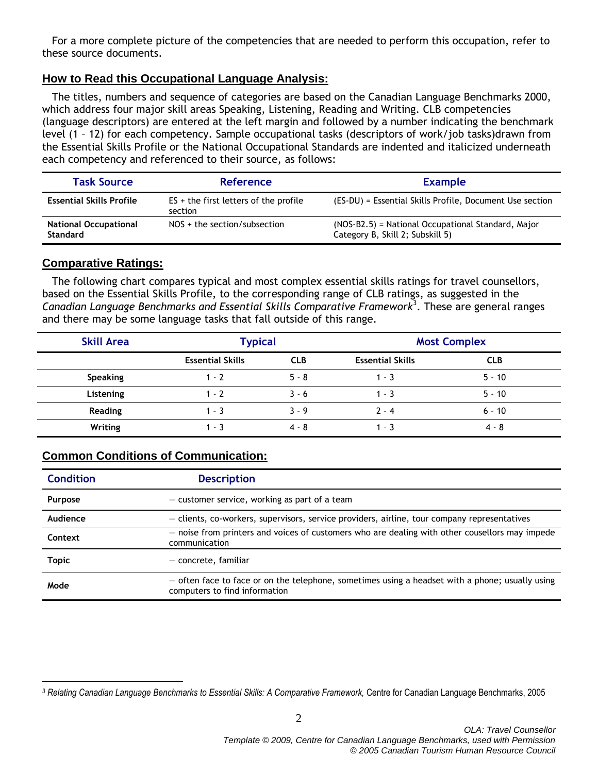For a more complete picture of the competencies that are needed to perform this occupation, refer to these source documents.

## **How to Read this Occupational Language Analysis:**

 The titles, numbers and sequence of categories are based on the Canadian Language Benchmarks 2000, which address four major skill areas Speaking, Listening, Reading and Writing. CLB competencies (language descriptors) are entered at the left margin and followed by a number indicating the benchmark level (1 – 12) for each competency. Sample occupational tasks (descriptors of work/job tasks)drawn from the Essential Skills Profile or the National Occupational Standards are indented and italicized underneath each competency and referenced to their source, as follows:

| <b>Task Source</b>                              | <b>Reference</b>                                   | <b>Example</b>                                                                         |  |
|-------------------------------------------------|----------------------------------------------------|----------------------------------------------------------------------------------------|--|
| <b>Essential Skills Profile</b>                 | $ES +$ the first letters of the profile<br>section | (ES-DU) = Essential Skills Profile, Document Use section                               |  |
| <b>National Occupational</b><br><b>Standard</b> | $NOS +$ the section/subsection                     | (NOS-B2.5) = National Occupational Standard, Major<br>Category B, Skill 2; Subskill 5) |  |

## **Comparative Ratings:**

 $\overline{a}$ 

 The following chart compares typical and most complex essential skills ratings for travel counsellors, based on the Essential Skills Profile, to the corresponding range of CLB ratings, as suggested in the Canadian Language Benchmarks and Essential Skills Comparative Framework<sup>3</sup>. These are general ranges and there may be some language tasks that fall outside of this range.

| <b>Skill Area</b> | <b>Typical</b>          |            | <b>Most Complex</b>     |            |  |
|-------------------|-------------------------|------------|-------------------------|------------|--|
|                   | <b>Essential Skills</b> | <b>CLB</b> | <b>Essential Skills</b> | <b>CLB</b> |  |
| Speaking          | $1 - 2$                 | $5 - 8$    | 1 - 3                   | $5 - 10$   |  |
| Listening         | $1 - 2$                 | $3 - 6$    | $1 - 3$                 | $5 - 10$   |  |
| Reading           | $1 - 3$                 | $3 - 9$    | $2 - 4$                 | $6 - 10$   |  |
| Writing           | $1 - 3$                 | $4 - 8$    | - 3                     | $4 - 8$    |  |

## **Common Conditions of Communication:**

| <b>Condition</b> | <b>Description</b>                                                                                                                 |
|------------------|------------------------------------------------------------------------------------------------------------------------------------|
| <b>Purpose</b>   | $-$ customer service, working as part of a team                                                                                    |
| Audience         | - clients, co-workers, supervisors, service providers, airline, tour company representatives                                       |
| Context          | - noise from printers and voices of customers who are dealing with other cousellors may impede<br>communication                    |
| <b>Topic</b>     | $-$ concrete, familiar                                                                                                             |
| Mode             | $-$ often face to face or on the telephone, sometimes using a headset with a phone; usually using<br>computers to find information |

*<sup>3</sup> Relating Canadian Language Benchmarks to Essential Skills: A Comparative Framework,* Centre for Canadian Language Benchmarks, 2005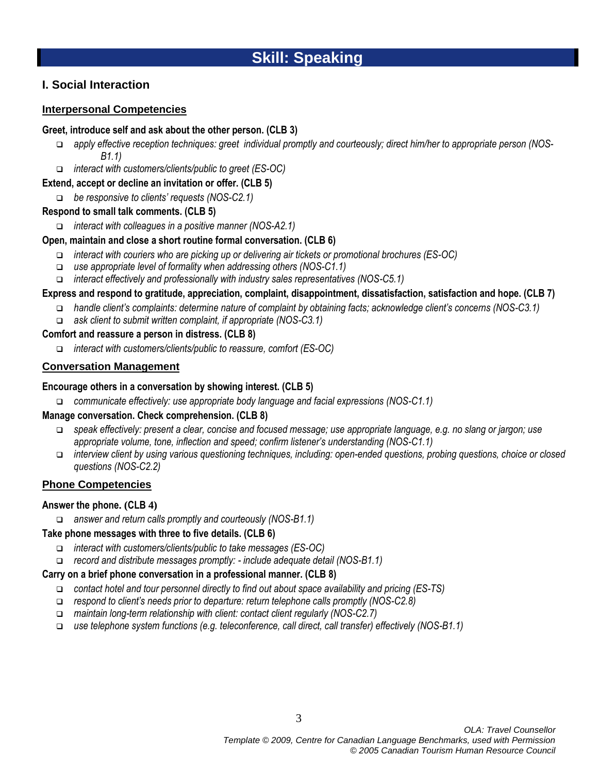## **I. Social Interaction**

#### **Interpersonal Competencies**

#### **Greet, introduce self and ask about the other person. (CLB 3)**

- *apply effective reception techniques: greet individual promptly and courteously; direct him/her to appropriate person (NOS-B1.1)*
- *interact with customers/clients/public to greet (ES-OC)*

#### **Extend, accept or decline an invitation or offer. (CLB 5)**

*be responsive to clients' requests (NOS-C2.1)*

#### **Respond to small talk comments. (CLB 5)**

*interact with colleagues in a positive manner (NOS-A2.1)*

#### **Open, maintain and close a short routine formal conversation. (CLB 6)**

- *interact with couriers who are picking up or delivering air tickets or promotional brochures (ES-OC)*
- *use appropriate level of formality when addressing others (NOS-C1.1)*
- *interact effectively and professionally with industry sales representatives (NOS-C5.1)*

#### **Express and respond to gratitude, appreciation, complaint, disappointment, dissatisfaction, satisfaction and hope. (CLB 7)**

- *handle client's complaints: determine nature of complaint by obtaining facts; acknowledge client's concerns (NOS-C3.1)*
- *ask client to submit written complaint, if appropriate (NOS-C3.1)*

#### **Comfort and reassure a person in distress. (CLB 8)**

*interact with customers/clients/public to reassure, comfort (ES-OC)*

#### **Conversation Management**

#### **Encourage others in a conversation by showing interest. (CLB 5)**

*communicate effectively: use appropriate body language and facial expressions (NOS-C1.1)*

#### **Manage conversation. Check comprehension. (CLB 8)**

- *speak effectively: present a clear, concise and focused message; use appropriate language, e.g. no slang or jargon; use appropriate volume, tone, inflection and speed; confirm listener's understanding (NOS-C1.1)*
- *interview client by using various questioning techniques, including: open-ended questions, probing questions, choice or closed questions (NOS-C2.2)*

#### **Phone Competencies**

#### **Answer the phone. (CLB 4)**

*answer and return calls promptly and courteously (NOS-B1.1)*

#### **Take phone messages with three to five details. (CLB 6)**

- *interact with customers/clients/public to take messages (ES-OC)*
- *record and distribute messages promptly: - include adequate detail (NOS-B1.1)*

#### **Carry on a brief phone conversation in a professional manner. (CLB 8)**

- *contact hotel and tour personnel directly to find out about space availability and pricing (ES-TS)*
- *respond to client's needs prior to departure: return telephone calls promptly (NOS-C2.8)*
- *maintain long-term relationship with client: contact client regularly (NOS-C2.7)*
- *use telephone system functions (e.g. teleconference, call direct, call transfer) effectively (NOS-B1.1)*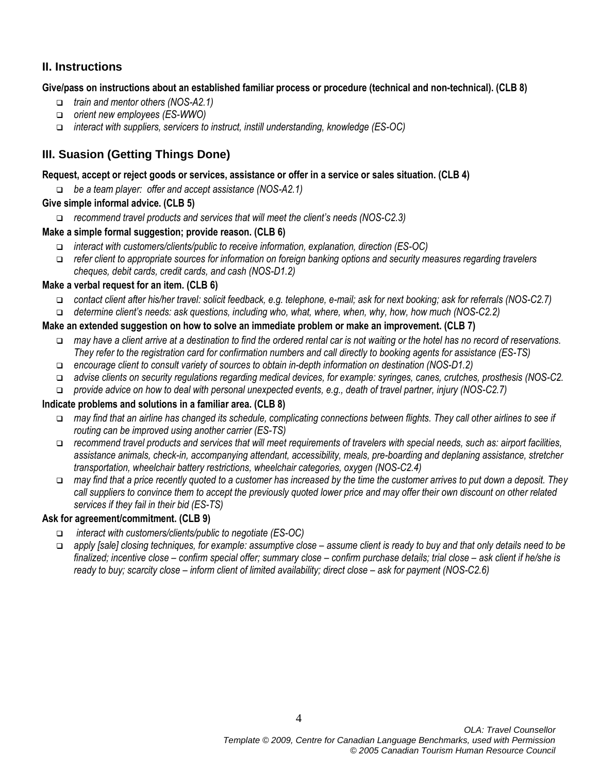## **II. Instructions**

#### **Give/pass on instructions about an established familiar process or procedure (technical and non-technical). (CLB 8)**

- *train and mentor others (NOS-A2.1)*
- *orient new employees (ES-WWO)*
- *interact with suppliers, servicers to instruct, instill understanding, knowledge (ES-OC)*

## **III. Suasion (Getting Things Done)**

#### **Request, accept or reject goods or services, assistance or offer in a service or sales situation. (CLB 4)**

*be a team player: offer and accept assistance (NOS-A2.1)*

#### **Give simple informal advice. (CLB 5)**

*recommend travel products and services that will meet the client's needs (NOS-C2.3)*

#### **Make a simple formal suggestion; provide reason. (CLB 6)**

- *interact with customers/clients/public to receive information, explanation, direction (ES-OC)*
- *refer client to appropriate sources for information on foreign banking options and security measures regarding travelers cheques, debit cards, credit cards, and cash (NOS-D1.2)*

#### **Make a verbal request for an item. (CLB 6)**

- *contact client after his/her travel: solicit feedback, e.g. telephone, e-mail; ask for next booking; ask for referrals (NOS-C2.7)*
- *determine client's needs: ask questions, including who, what, where, when, why, how, how much (NOS-C2.2)*

#### **Make an extended suggestion on how to solve an immediate problem or make an improvement. (CLB 7)**

- *may have a client arrive at a destination to find the ordered rental car is not waiting or the hotel has no record of reservations. They refer to the registration card for confirmation numbers and call directly to booking agents for assistance (ES-TS)*
- *encourage client to consult variety of sources to obtain in-depth information on destination (NOS-D1.2)*
- *advise clients on security regulations regarding medical devices, for example: syringes, canes, crutches, prosthesis (NOS-C2.*
- *provide advice on how to deal with personal unexpected events, e.g., death of travel partner, injury (NOS-C2.7)*

#### **Indicate problems and solutions in a familiar area. (CLB 8)**

- *may find that an airline has changed its schedule, complicating connections between flights. They call other airlines to see if routing can be improved using another carrier (ES-TS)*
- *recommend travel products and services that will meet requirements of travelers with special needs, such as: airport facilities, assistance animals, check-in, accompanying attendant, accessibility, meals, pre-boarding and deplaning assistance, stretcher transportation, wheelchair battery restrictions, wheelchair categories, oxygen (NOS-C2.4)*
- *may find that a price recently quoted to a customer has increased by the time the customer arrives to put down a deposit. They call suppliers to convince them to accept the previously quoted lower price and may offer their own discount on other related services if they fail in their bid (ES-TS)*

## **Ask for agreement/commitment. (CLB 9)**

- *interact with customers/clients/public to negotiate (ES-OC)*
- *apply [sale] closing techniques, for example: assumptive close – assume client is ready to buy and that only details need to be finalized; incentive close – confirm special offer; summary close – confirm purchase details; trial close – ask client if he/she is ready to buy; scarcity close – inform client of limited availability; direct close – ask for payment (NOS-C2.6)*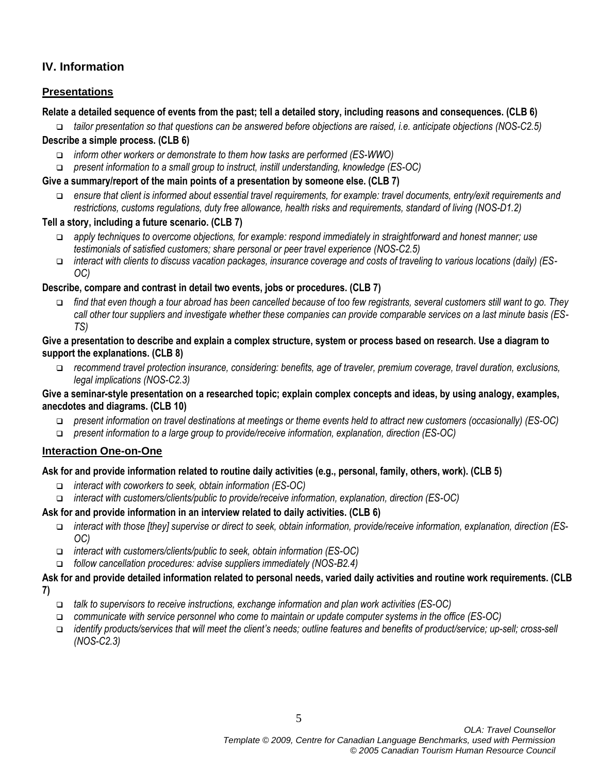## **IV. Information**

## **Presentations**

#### **Relate a detailed sequence of events from the past; tell a detailed story, including reasons and consequences. (CLB 6)**

 *tailor presentation so that questions can be answered before objections are raised, i.e. anticipate objections (NOS-C2.5)* **Describe a simple process. (CLB 6)**

- *inform other workers or demonstrate to them how tasks are performed (ES-WWO)*
- *present information to a small group to instruct, instill understanding, knowledge (ES-OC)*

#### **Give a summary/report of the main points of a presentation by someone else. (CLB 7)**

 *ensure that client is informed about essential travel requirements, for example: travel documents, entry/exit requirements and restrictions, customs regulations, duty free allowance, health risks and requirements, standard of living (NOS-D1.2)*

#### **Tell a story, including a future scenario. (CLB 7)**

- *apply techniques to overcome objections, for example: respond immediately in straightforward and honest manner; use testimonials of satisfied customers; share personal or peer travel experience (NOS-C2.5)*
- *interact with clients to discuss vacation packages, insurance coverage and costs of traveling to various locations (daily) (ES-OC)*

#### **Describe, compare and contrast in detail two events, jobs or procedures. (CLB 7)**

 *find that even though a tour abroad has been cancelled because of too few registrants, several customers still want to go. They call other tour suppliers and investigate whether these companies can provide comparable services on a last minute basis (ES-TS)*

#### **Give a presentation to describe and explain a complex structure, system or process based on research. Use a diagram to support the explanations. (CLB 8)**

 *recommend travel protection insurance, considering: benefits, age of traveler, premium coverage, travel duration, exclusions, legal implications (NOS-C2.3)*

#### **Give a seminar-style presentation on a researched topic; explain complex concepts and ideas, by using analogy, examples, anecdotes and diagrams. (CLB 10)**

- *present information on travel destinations at meetings or theme events held to attract new customers (occasionally) (ES-OC)*
- *present information to a large group to provide/receive information, explanation, direction (ES-OC)*

## **Interaction One-on-One**

## **Ask for and provide information related to routine daily activities (e.g., personal, family, others, work). (CLB 5)**

- *interact with coworkers to seek, obtain information (ES-OC)*
- *interact with customers/clients/public to provide/receive information, explanation, direction (ES-OC)*

## **Ask for and provide information in an interview related to daily activities. (CLB 6)**

- *interact with those [they] supervise or direct to seek, obtain information, provide/receive information, explanation, direction (ES-OC)*
- *interact with customers/clients/public to seek, obtain information (ES-OC)*
- *follow cancellation procedures: advise suppliers immediately (NOS-B2.4)*

## **Ask for and provide detailed information related to personal needs, varied daily activities and routine work requirements. (CLB**

**7)**

- *talk to supervisors to receive instructions, exchange information and plan work activities (ES-OC)*
- *communicate with service personnel who come to maintain or update computer systems in the office (ES-OC)*
- *identify products/services that will meet the client's needs; outline features and benefits of product/service; up-sell; cross-sell (NOS-C2.3)*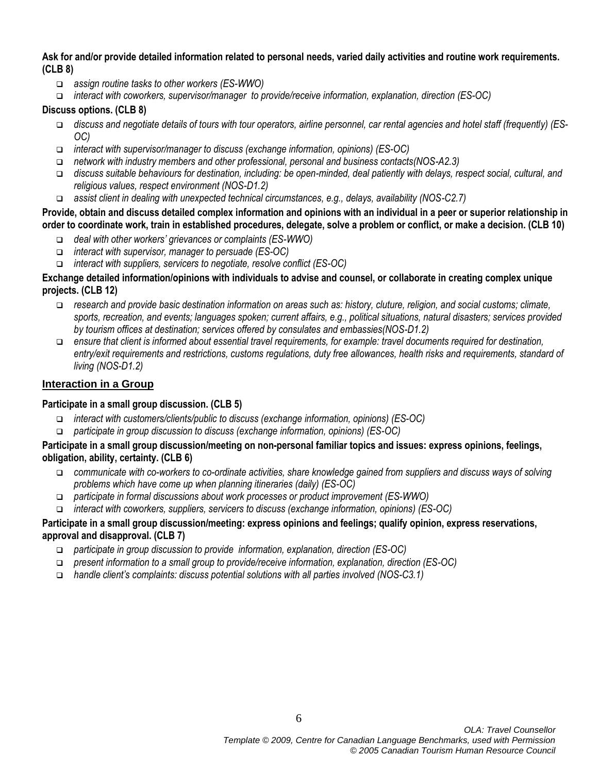#### **Ask for and/or provide detailed information related to personal needs, varied daily activities and routine work requirements. (CLB 8)**

- *assign routine tasks to other workers (ES-WWO)*
- *interact with coworkers, supervisor/manager to provide/receive information, explanation, direction (ES-OC)*

#### **Discuss options. (CLB 8)**

- *discuss and negotiate details of tours with tour operators, airline personnel, car rental agencies and hotel staff (frequently) (ES-OC)*
- *interact with supervisor/manager to discuss (exchange information, opinions) (ES-OC)*
- *network with industry members and other professional, personal and business contacts(NOS-A2.3)*
- *discuss suitable behaviours for destination, including: be open-minded, deal patiently with delays, respect social, cultural, and religious values, respect environment (NOS-D1.2)*
- *assist client in dealing with unexpected technical circumstances, e.g., delays, availability (NOS-C2.7)*

#### **Provide, obtain and discuss detailed complex information and opinions with an individual in a peer or superior relationship in order to coordinate work, train in established procedures, delegate, solve a problem or conflict, or make a decision. (CLB 10)**

- *deal with other workers' grievances or complaints (ES-WWO)*
- *interact with supervisor, manager to persuade (ES-OC)*
- *interact with suppliers, servicers to negotiate, resolve conflict (ES-OC)*

#### **Exchange detailed information/opinions with individuals to advise and counsel, or collaborate in creating complex unique projects. (CLB 12)**

- *research and provide basic destination information on areas such as: history, cluture, religion, and social customs; climate, sports, recreation, and events; languages spoken; current affairs, e.g., political situations, natural disasters; services provided by tourism offices at destination; services offered by consulates and embassies(NOS-D1.2)*
- *ensure that client is informed about essential travel requirements, for example: travel documents required for destination, entry/exit requirements and restrictions, customs regulations, duty free allowances, health risks and requirements, standard of living (NOS-D1.2)*

#### **Interaction in a Group**

#### **Participate in a small group discussion. (CLB 5)**

- *interact with customers/clients/public to discuss (exchange information, opinions) (ES-OC)*
- *participate in group discussion to discuss (exchange information, opinions) (ES-OC)*

#### **Participate in a small group discussion/meeting on non-personal familiar topics and issues: express opinions, feelings, obligation, ability, certainty. (CLB 6)**

- *communicate with co-workers to co-ordinate activities, share knowledge gained from suppliers and discuss ways of solving problems which have come up when planning itineraries (daily) (ES-OC)*
- *participate in formal discussions about work processes or product improvement (ES-WWO)*
- *interact with coworkers, suppliers, servicers to discuss (exchange information, opinions) (ES-OC)*

#### **Participate in a small group discussion/meeting: express opinions and feelings; qualify opinion, express reservations, approval and disapproval. (CLB 7)**

- *participate in group discussion to provide information, explanation, direction (ES-OC)*
- *present information to a small group to provide/receive information, explanation, direction (ES-OC)*
- *handle client's complaints: discuss potential solutions with all parties involved (NOS-C3.1)*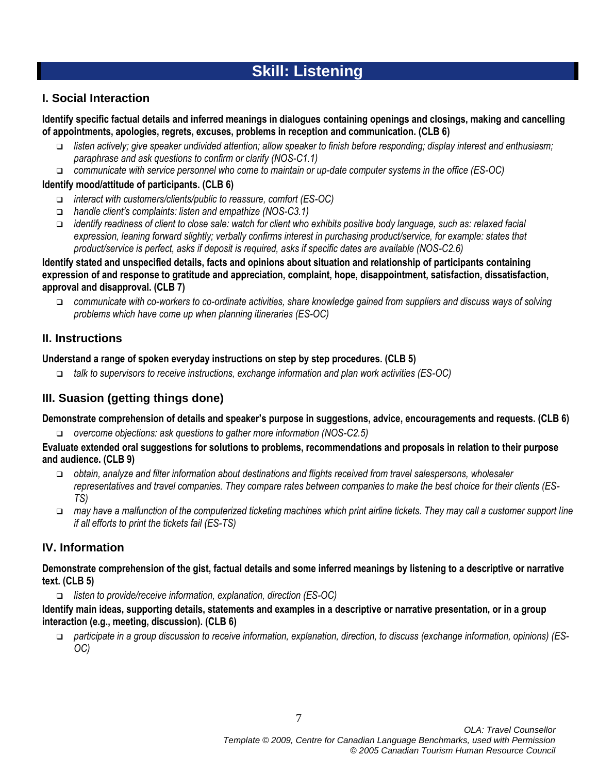# **Skill: Listening**

## **I. Social Interaction**

**Identify specific factual details and inferred meanings in dialogues containing openings and closings, making and cancelling of appointments, apologies, regrets, excuses, problems in reception and communication. (CLB 6)**

- *listen actively; give speaker undivided attention; allow speaker to finish before responding; display interest and enthusiasm; paraphrase and ask questions to confirm or clarify (NOS-C1.1)*
- *communicate with service personnel who come to maintain or up-date computer systems in the office (ES-OC)*

#### **Identify mood/attitude of participants. (CLB 6)**

- *interact with customers/clients/public to reassure, comfort (ES-OC)*
- *handle client's complaints: listen and empathize (NOS-C3.1)*
- *identify readiness of client to close sale: watch for client who exhibits positive body language, such as: relaxed facial expression, leaning forward slightly; verbally confirms interest in purchasing product/service, for example: states that product/service is perfect, asks if deposit is required, asks if specific dates are available (NOS-C2.6)*

#### **Identify stated and unspecified details, facts and opinions about situation and relationship of participants containing expression of and response to gratitude and appreciation, complaint, hope, disappointment, satisfaction, dissatisfaction, approval and disapproval. (CLB 7)**

 *communicate with co-workers to co-ordinate activities, share knowledge gained from suppliers and discuss ways of solving problems which have come up when planning itineraries (ES-OC)*

## **II. Instructions**

#### **Understand a range of spoken everyday instructions on step by step procedures. (CLB 5)**

*talk to supervisors to receive instructions, exchange information and plan work activities (ES-OC)*

## **III. Suasion (getting things done)**

**Demonstrate comprehension of details and speaker's purpose in suggestions, advice, encouragements and requests. (CLB 6)**

*overcome objections: ask questions to gather more information (NOS-C2.5)*

#### **Evaluate extended oral suggestions for solutions to problems, recommendations and proposals in relation to their purpose and audience. (CLB 9)**

- *obtain, analyze and filter information about destinations and flights received from travel salespersons, wholesaler representatives and travel companies. They compare rates between companies to make the best choice for their clients (ES-TS)*
- *may have a malfunction of the computerized ticketing machines which print airline tickets. They may call a customer support line if all efforts to print the tickets fail (ES-TS)*

## **IV. Information**

#### **Demonstrate comprehension of the gist, factual details and some inferred meanings by listening to a descriptive or narrative text. (CLB 5)**

*listen to provide/receive information, explanation, direction (ES-OC)*

#### **Identify main ideas, supporting details, statements and examples in a descriptive or narrative presentation, or in a group interaction (e.g., meeting, discussion). (CLB 6)**

 *participate in a group discussion to receive information, explanation, direction, to discuss (exchange information, opinions) (ES-OC)*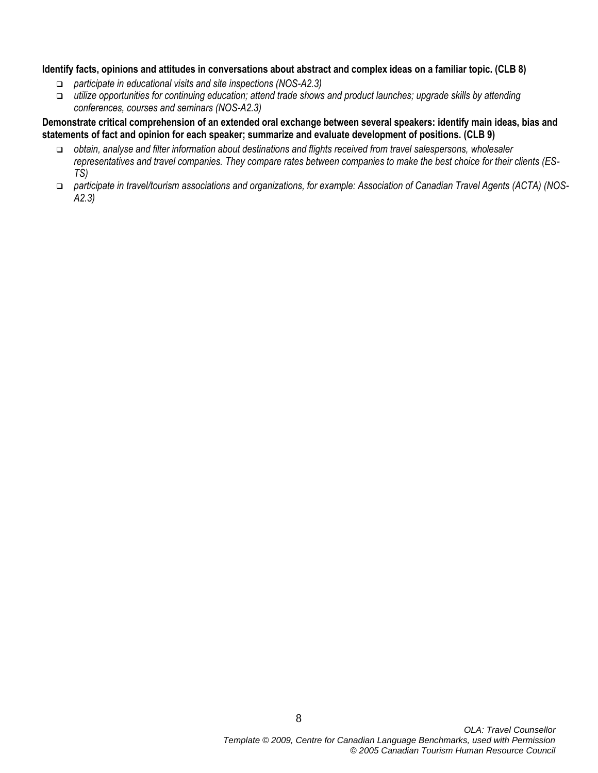#### **Identify facts, opinions and attitudes in conversations about abstract and complex ideas on a familiar topic. (CLB 8)**

- *participate in educational visits and site inspections (NOS-A2.3)*
- *utilize opportunities for continuing education; attend trade shows and product launches; upgrade skills by attending conferences, courses and seminars (NOS-A2.3)*

#### **Demonstrate critical comprehension of an extended oral exchange between several speakers: identify main ideas, bias and statements of fact and opinion for each speaker; summarize and evaluate development of positions. (CLB 9)**

- *obtain, analyse and filter information about destinations and flights received from travel salespersons, wholesaler representatives and travel companies. They compare rates between companies to make the best choice for their clients (ES-TS)*
- *participate in travel/tourism associations and organizations, for example: Association of Canadian Travel Agents (ACTA) (NOS-A2.3)*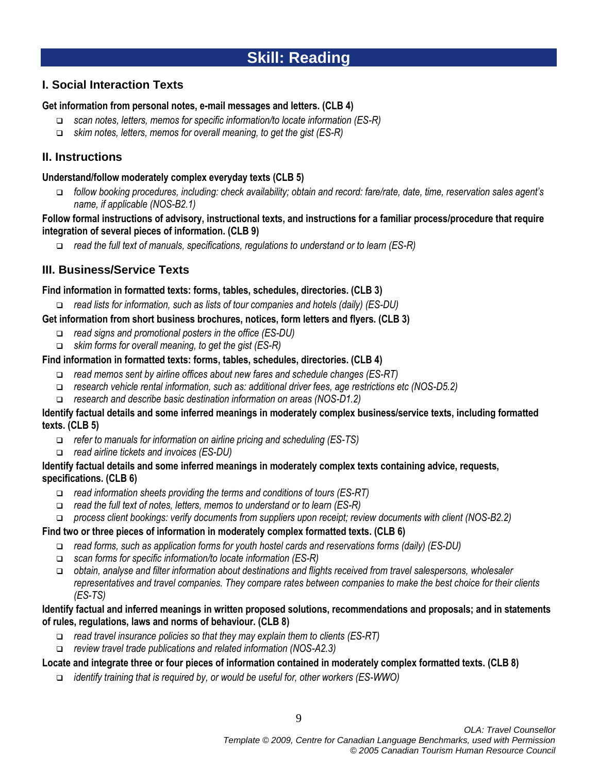# **Skill: Reading**

## **I. Social Interaction Texts**

#### **Get information from personal notes, e-mail messages and letters. (CLB 4)**

- *scan notes, letters, memos for specific information/to locate information (ES-R)*
- *skim notes, letters, memos for overall meaning, to get the gist (ES-R)*

## **II. Instructions**

#### **Understand/follow moderately complex everyday texts (CLB 5)**

 *follow booking procedures, including: check availability; obtain and record: fare/rate, date, time, reservation sales agent's name, if applicable (NOS-B2.1)*

#### **Follow formal instructions of advisory, instructional texts, and instructions for a familiar process/procedure that require integration of several pieces of information. (CLB 9)**

*read the full text of manuals, specifications, regulations to understand or to learn (ES-R)*

## **III. Business/Service Texts**

#### **Find information in formatted texts: forms, tables, schedules, directories. (CLB 3)**

- *read lists for information, such as lists of tour companies and hotels (daily) (ES-DU)*
- **Get information from short business brochures, notices, form letters and flyers. (CLB 3)**
	- *read signs and promotional posters in the office (ES-DU)*
	- *skim forms for overall meaning, to get the gist (ES-R)*

#### **Find information in formatted texts: forms, tables, schedules, directories. (CLB 4)**

- *read memos sent by airline offices about new fares and schedule changes (ES-RT)*
- *research vehicle rental information, such as: additional driver fees, age restrictions etc (NOS-D5.2)*
- *research and describe basic destination information on areas (NOS-D1.2)*

#### **Identify factual details and some inferred meanings in moderately complex business/service texts, including formatted texts. (CLB 5)**

- *refer to manuals for information on airline pricing and scheduling (ES-TS)*
- *read airline tickets and invoices (ES-DU)*

#### **Identify factual details and some inferred meanings in moderately complex texts containing advice, requests, specifications. (CLB 6)**

- *read information sheets providing the terms and conditions of tours (ES-RT)*
- *read the full text of notes, letters, memos to understand or to learn (ES-R)*
- *process client bookings: verify documents from suppliers upon receipt; review documents with client (NOS-B2.2)*

#### **Find two or three pieces of information in moderately complex formatted texts. (CLB 6)**

- *read forms, such as application forms for youth hostel cards and reservations forms (daily) (ES-DU)*
- *scan forms for specific information/to locate information (ES-R)*
- *obtain, analyse and filter information about destinations and flights received from travel salespersons, wholesaler representatives and travel companies. They compare rates between companies to make the best choice for their clients (ES-TS)*

#### **Identify factual and inferred meanings in written proposed solutions, recommendations and proposals; and in statements of rules, regulations, laws and norms of behaviour. (CLB 8)**

- *read travel insurance policies so that they may explain them to clients (ES-RT)*
- *review travel trade publications and related information (NOS-A2.3)*

#### **Locate and integrate three or four pieces of information contained in moderately complex formatted texts. (CLB 8)**

*identify training that is required by, or would be useful for, other workers (ES-WWO)*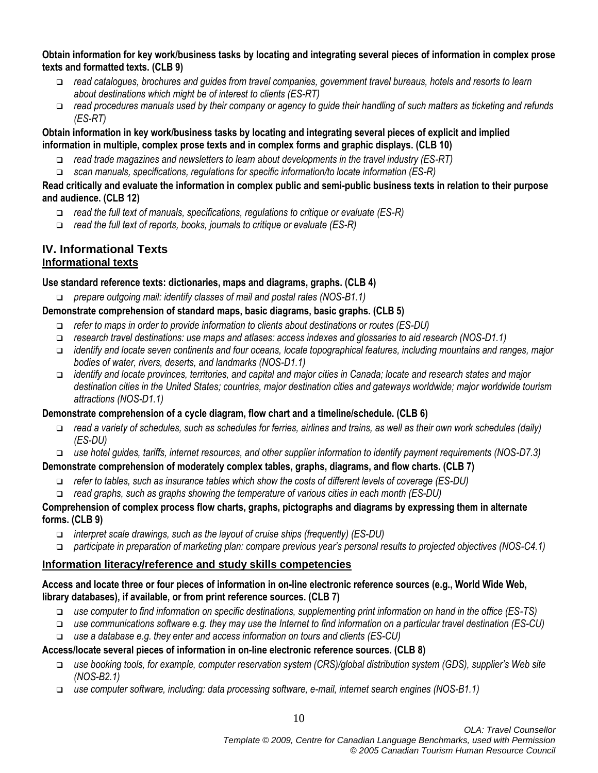#### **Obtain information for key work/business tasks by locating and integrating several pieces of information in complex prose texts and formatted texts. (CLB 9)**

- *read catalogues, brochures and guides from travel companies, government travel bureaus, hotels and resorts to learn about destinations which might be of interest to clients (ES-RT)*
- *read procedures manuals used by their company or agency to guide their handling of such matters as ticketing and refunds (ES-RT)*

#### **Obtain information in key work/business tasks by locating and integrating several pieces of explicit and implied information in multiple, complex prose texts and in complex forms and graphic displays. (CLB 10)**

- *read trade magazines and newsletters to learn about developments in the travel industry (ES-RT)*
- *scan manuals, specifications, regulations for specific information/to locate information (ES-R)*

#### **Read critically and evaluate the information in complex public and semi-public business texts in relation to their purpose and audience. (CLB 12)**

- *read the full text of manuals, specifications, regulations to critique or evaluate (ES-R)*
- *read the full text of reports, books, journals to critique or evaluate (ES-R)*

#### **IV. Informational Texts Informational texts**

#### **Use standard reference texts: dictionaries, maps and diagrams, graphs. (CLB 4)**

*prepare outgoing mail: identify classes of mail and postal rates (NOS-B1.1)*

#### **Demonstrate comprehension of standard maps, basic diagrams, basic graphs. (CLB 5)**

- *refer to maps in order to provide information to clients about destinations or routes (ES-DU)*
- *research travel destinations: use maps and atlases: access indexes and glossaries to aid research (NOS-D1.1)*
- *identify and locate seven continents and four oceans, locate topographical features, including mountains and ranges, major bodies of water, rivers, deserts, and landmarks (NOS-D1.1)*
- *identify and locate provinces, territories, and capital and major cities in Canada; locate and research states and major destination cities in the United States; countries, major destination cities and gateways worldwide; major worldwide tourism attractions (NOS-D1.1)*

## **Demonstrate comprehension of a cycle diagram, flow chart and a timeline/schedule. (CLB 6)**

- *read a variety of schedules, such as schedules for ferries, airlines and trains, as well as their own work schedules (daily) (ES-DU)*
- *use hotel guides, tariffs, internet resources, and other supplier information to identify payment requirements (NOS-D7.3)*

## **Demonstrate comprehension of moderately complex tables, graphs, diagrams, and flow charts. (CLB 7)**

- *refer to tables, such as insurance tables which show the costs of different levels of coverage (ES-DU)*
- *read graphs, such as graphs showing the temperature of various cities in each month (ES-DU)*

#### **Comprehension of complex process flow charts, graphs, pictographs and diagrams by expressing them in alternate forms. (CLB 9)**

- *interpret scale drawings, such as the layout of cruise ships (frequently) (ES-DU)*
- *participate in preparation of marketing plan: compare previous year's personal results to projected objectives (NOS-C4.1)*

#### **Information literacy/reference and study skills competencies**

#### **Access and locate three or four pieces of information in on-line electronic reference sources (e.g., World Wide Web, library databases), if available, or from print reference sources. (CLB 7)**

- *use computer to find information on specific destinations, supplementing print information on hand in the office (ES-TS)*
- *use communications software e.g. they may use the Internet to find information on a particular travel destination (ES-CU)*
- *use a database e.g. they enter and access information on tours and clients (ES-CU)*

#### **Access/locate several pieces of information in on-line electronic reference sources. (CLB 8)**

- *use booking tools, for example, computer reservation system (CRS)/global distribution system (GDS), supplier's Web site (NOS-B2.1)*
- *use computer software, including: data processing software, e-mail, internet search engines (NOS-B1.1)*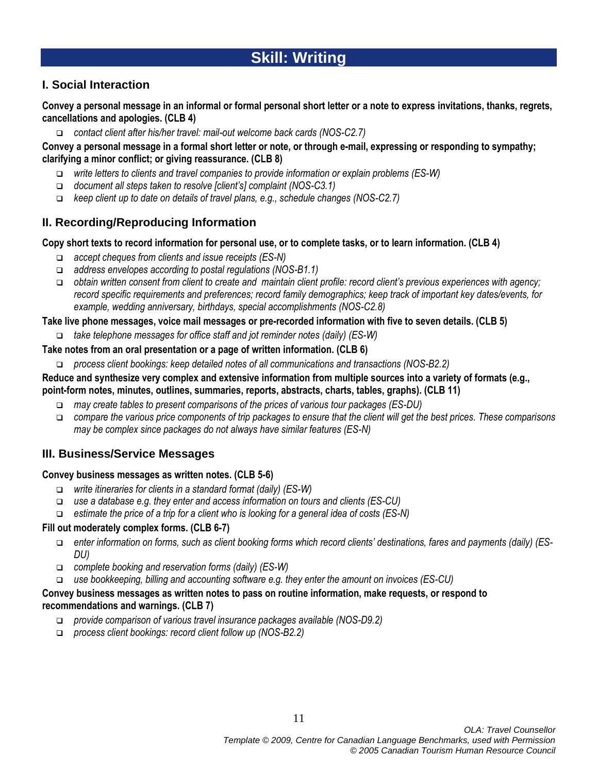# **Skill: Writing**

## **I. Social Interaction**

**Convey a personal message in an informal or formal personal short letter or a note to express invitations, thanks, regrets, cancellations and apologies. (CLB 4)**

*contact client after his/her travel: mail-out welcome back cards (NOS-C2.7)*

#### **Convey a personal message in a formal short letter or note, or through e-mail, expressing or responding to sympathy; clarifying a minor conflict; or giving reassurance. (CLB 8)**

- *write letters to clients and travel companies to provide information or explain problems (ES-W)*
- *document all steps taken to resolve [client's] complaint (NOS-C3.1)*
- *keep client up to date on details of travel plans, e.g., schedule changes (NOS-C2.7)*

## **II. Recording/Reproducing Information**

#### **Copy short texts to record information for personal use, or to complete tasks, or to learn information. (CLB 4)**

- *accept cheques from clients and issue receipts (ES-N)*
- *address envelopes according to postal regulations (NOS-B1.1)*
- *obtain written consent from client to create and maintain client profile: record client's previous experiences with agency; record specific requirements and preferences; record family demographics; keep track of important key dates/events, for example, wedding anniversary, birthdays, special accomplishments (NOS-C2.8)*

#### **Take live phone messages, voice mail messages or pre-recorded information with five to seven details. (CLB 5)**

*take telephone messages for office staff and jot reminder notes (daily) (ES-W)*

#### **Take notes from an oral presentation or a page of written information. (CLB 6)**

*process client bookings: keep detailed notes of all communications and transactions (NOS-B2.2)*

#### **Reduce and synthesize very complex and extensive information from multiple sources into a variety of formats (e.g., point-form notes, minutes, outlines, summaries, reports, abstracts, charts, tables, graphs). (CLB 11)**

- *may create tables to present comparisons of the prices of various tour packages (ES-DU)*
- *compare the various price components of trip packages to ensure that the client will get the best prices. These comparisons may be complex since packages do not always have similar features (ES-N)*

## **III. Business/Service Messages**

#### **Convey business messages as written notes. (CLB 5-6)**

- *write itineraries for clients in a standard format (daily) (ES-W)*
- *use a database e.g. they enter and access information on tours and clients (ES-CU)*
- *estimate the price of a trip for a client who is looking for a general idea of costs (ES-N)*

#### **Fill out moderately complex forms. (CLB 6-7)**

- *enter information on forms, such as client booking forms which record clients' destinations, fares and payments (daily) (ES-DU)*
- *complete booking and reservation forms (daily) (ES-W)*
- *use bookkeeping, billing and accounting software e.g. they enter the amount on invoices (ES-CU)*

#### **Convey business messages as written notes to pass on routine information, make requests, or respond to recommendations and warnings. (CLB 7)**

- *provide comparison of various travel insurance packages available (NOS-D9.2)*
- *process client bookings: record client follow up (NOS-B2.2)*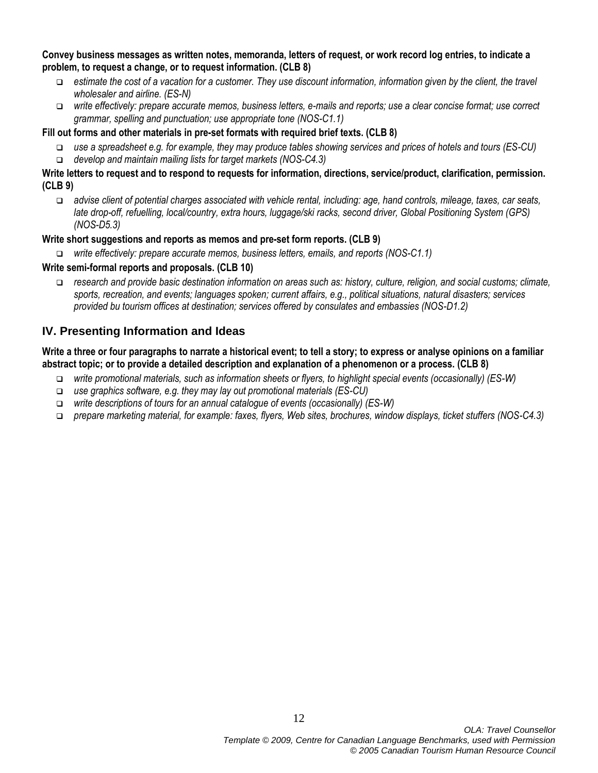#### **Convey business messages as written notes, memoranda, letters of request, or work record log entries, to indicate a problem, to request a change, or to request information. (CLB 8)**

- *estimate the cost of a vacation for a customer. They use discount information, information given by the client, the travel wholesaler and airline. (ES-N)*
- *write effectively: prepare accurate memos, business letters, e-mails and reports; use a clear concise format; use correct grammar, spelling and punctuation; use appropriate tone (NOS-C1.1)*

#### **Fill out forms and other materials in pre-set formats with required brief texts. (CLB 8)**

- *use a spreadsheet e.g. for example, they may produce tables showing services and prices of hotels and tours (ES-CU)*
- *develop and maintain mailing lists for target markets (NOS-C4.3)*

#### **Write letters to request and to respond to requests for information, directions, service/product, clarification, permission. (CLB 9)**

 *advise client of potential charges associated with vehicle rental, including: age, hand controls, mileage, taxes, car seats, late drop-off, refuelling, local/country, extra hours, luggage/ski racks, second driver, Global Positioning System (GPS) (NOS-D5.3)*

## **Write short suggestions and reports as memos and pre-set form reports. (CLB 9)**

*write effectively: prepare accurate memos, business letters, emails, and reports (NOS-C1.1)*

## **Write semi-formal reports and proposals. (CLB 10)**

 *research and provide basic destination information on areas such as: history, culture, religion, and social customs; climate, sports, recreation, and events; languages spoken; current affairs, e.g., political situations, natural disasters; services provided bu tourism offices at destination; services offered by consulates and embassies (NOS-D1.2)*

## **IV. Presenting Information and Ideas**

#### **Write a three or four paragraphs to narrate a historical event; to tell a story; to express or analyse opinions on a familiar abstract topic; or to provide a detailed description and explanation of a phenomenon or a process. (CLB 8)**

- *write promotional materials, such as information sheets or flyers, to highlight special events (occasionally) (ES-W)*
- *use graphics software, e.g. they may lay out promotional materials (ES-CU)*
- *write descriptions of tours for an annual catalogue of events (occasionally) (ES-W)*
- *prepare marketing material, for example: faxes, flyers, Web sites, brochures, window displays, ticket stuffers (NOS-C4.3)*